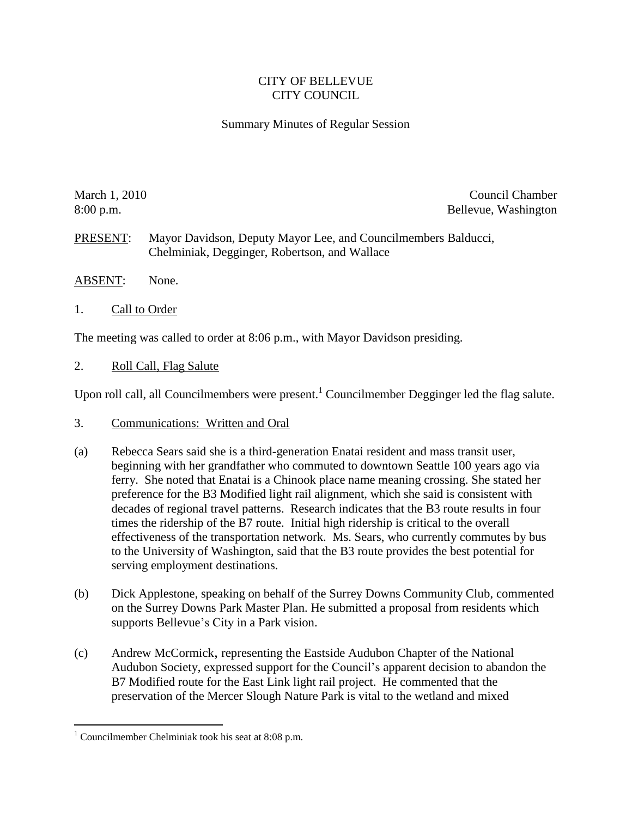## CITY OF BELLEVUE CITY COUNCIL

## Summary Minutes of Regular Session

March 1, 2010 Council Chamber 2010 Council Chamber 2010 Council Chamber 2010 Council Chamber 2010 Council Chamber 8:00 p.m. Bellevue, Washington

PRESENT: Mayor Davidson, Deputy Mayor Lee, and Councilmembers Balducci, Chelminiak, Degginger, Robertson, and Wallace

- ABSENT: None.
- 1. Call to Order

The meeting was called to order at 8:06 p.m., with Mayor Davidson presiding.

2. Roll Call, Flag Salute

Upon roll call, all Councilmembers were present.<sup>1</sup> Councilmember Degginger led the flag salute.

- 3. Communications: Written and Oral
- (a) Rebecca Sears said she is a third-generation Enatai resident and mass transit user, beginning with her grandfather who commuted to downtown Seattle 100 years ago via ferry. She noted that Enatai is a Chinook place name meaning crossing. She stated her preference for the B3 Modified light rail alignment, which she said is consistent with decades of regional travel patterns. Research indicates that the B3 route results in four times the ridership of the B7 route. Initial high ridership is critical to the overall effectiveness of the transportation network. Ms. Sears, who currently commutes by bus to the University of Washington, said that the B3 route provides the best potential for serving employment destinations.
- (b) Dick Applestone, speaking on behalf of the Surrey Downs Community Club, commented on the Surrey Downs Park Master Plan. He submitted a proposal from residents which supports Bellevue's City in a Park vision.
- (c) Andrew McCormick, representing the Eastside Audubon Chapter of the National Audubon Society, expressed support for the Council's apparent decision to abandon the B7 Modified route for the East Link light rail project. He commented that the preservation of the Mercer Slough Nature Park is vital to the wetland and mixed

 $\overline{a}$ 

<sup>&</sup>lt;sup>1</sup> Councilmember Chelminiak took his seat at 8:08 p.m.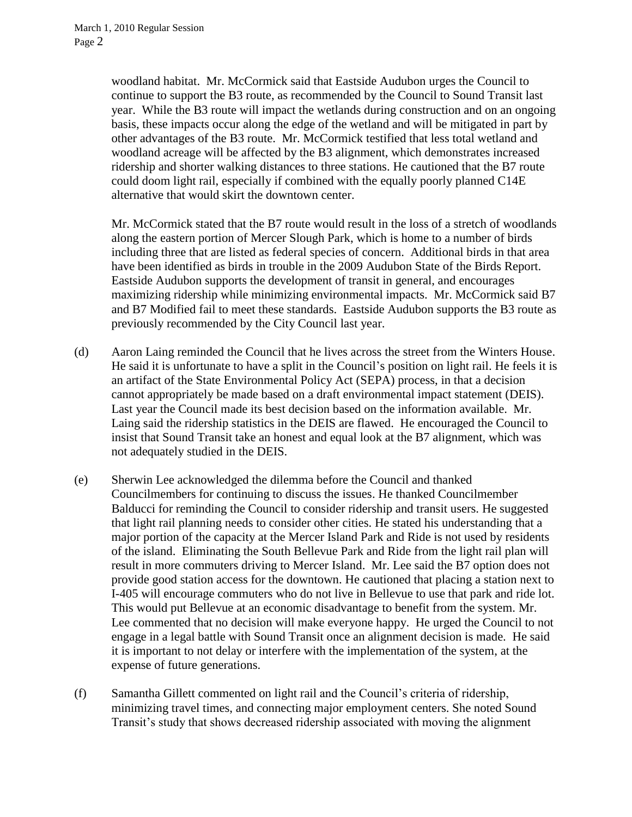woodland habitat. Mr. McCormick said that Eastside Audubon urges the Council to continue to support the B3 route, as recommended by the Council to Sound Transit last year. While the B3 route will impact the wetlands during construction and on an ongoing basis, these impacts occur along the edge of the wetland and will be mitigated in part by other advantages of the B3 route. Mr. McCormick testified that less total wetland and woodland acreage will be affected by the B3 alignment, which demonstrates increased ridership and shorter walking distances to three stations. He cautioned that the B7 route could doom light rail, especially if combined with the equally poorly planned C14E alternative that would skirt the downtown center.

Mr. McCormick stated that the B7 route would result in the loss of a stretch of woodlands along the eastern portion of Mercer Slough Park, which is home to a number of birds including three that are listed as federal species of concern. Additional birds in that area have been identified as birds in trouble in the 2009 Audubon State of the Birds Report. Eastside Audubon supports the development of transit in general, and encourages maximizing ridership while minimizing environmental impacts. Mr. McCormick said B7 and B7 Modified fail to meet these standards. Eastside Audubon supports the B3 route as previously recommended by the City Council last year.

- (d) Aaron Laing reminded the Council that he lives across the street from the Winters House. He said it is unfortunate to have a split in the Council's position on light rail. He feels it is an artifact of the State Environmental Policy Act (SEPA) process, in that a decision cannot appropriately be made based on a draft environmental impact statement (DEIS). Last year the Council made its best decision based on the information available. Mr. Laing said the ridership statistics in the DEIS are flawed. He encouraged the Council to insist that Sound Transit take an honest and equal look at the B7 alignment, which was not adequately studied in the DEIS.
- (e) Sherwin Lee acknowledged the dilemma before the Council and thanked Councilmembers for continuing to discuss the issues. He thanked Councilmember Balducci for reminding the Council to consider ridership and transit users. He suggested that light rail planning needs to consider other cities. He stated his understanding that a major portion of the capacity at the Mercer Island Park and Ride is not used by residents of the island. Eliminating the South Bellevue Park and Ride from the light rail plan will result in more commuters driving to Mercer Island. Mr. Lee said the B7 option does not provide good station access for the downtown. He cautioned that placing a station next to I-405 will encourage commuters who do not live in Bellevue to use that park and ride lot. This would put Bellevue at an economic disadvantage to benefit from the system. Mr. Lee commented that no decision will make everyone happy. He urged the Council to not engage in a legal battle with Sound Transit once an alignment decision is made. He said it is important to not delay or interfere with the implementation of the system, at the expense of future generations.
- (f) Samantha Gillett commented on light rail and the Council's criteria of ridership, minimizing travel times, and connecting major employment centers. She noted Sound Transit's study that shows decreased ridership associated with moving the alignment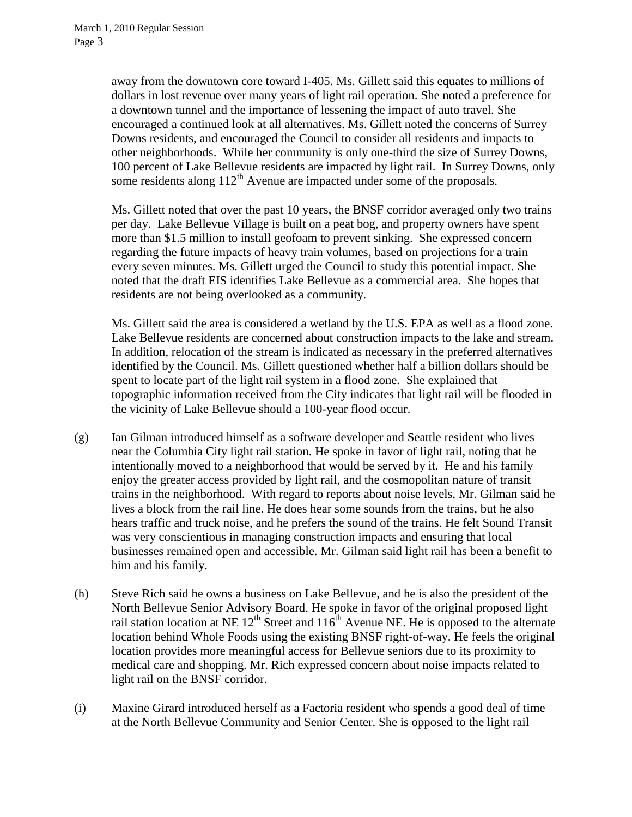away from the downtown core toward I-405. Ms. Gillett said this equates to millions of dollars in lost revenue over many years of light rail operation. She noted a preference for a downtown tunnel and the importance of lessening the impact of auto travel. She encouraged a continued look at all alternatives. Ms. Gillett noted the concerns of Surrey Downs residents, and encouraged the Council to consider all residents and impacts to other neighborhoods. While her community is only one-third the size of Surrey Downs, 100 percent of Lake Bellevue residents are impacted by light rail. In Surrey Downs, only some residents along  $112<sup>th</sup>$  Avenue are impacted under some of the proposals.

Ms. Gillett noted that over the past 10 years, the BNSF corridor averaged only two trains per day. Lake Bellevue Village is built on a peat bog, and property owners have spent more than \$1.5 million to install geofoam to prevent sinking. She expressed concern regarding the future impacts of heavy train volumes, based on projections for a train every seven minutes. Ms. Gillett urged the Council to study this potential impact. She noted that the draft EIS identifies Lake Bellevue as a commercial area. She hopes that residents are not being overlooked as a community.

Ms. Gillett said the area is considered a wetland by the U.S. EPA as well as a flood zone. Lake Bellevue residents are concerned about construction impacts to the lake and stream. In addition, relocation of the stream is indicated as necessary in the preferred alternatives identified by the Council. Ms. Gillett questioned whether half a billion dollars should be spent to locate part of the light rail system in a flood zone. She explained that topographic information received from the City indicates that light rail will be flooded in the vicinity of Lake Bellevue should a 100-year flood occur.

- (g) Ian Gilman introduced himself as a software developer and Seattle resident who lives near the Columbia City light rail station. He spoke in favor of light rail, noting that he intentionally moved to a neighborhood that would be served by it. He and his family enjoy the greater access provided by light rail, and the cosmopolitan nature of transit trains in the neighborhood. With regard to reports about noise levels, Mr. Gilman said he lives a block from the rail line. He does hear some sounds from the trains, but he also hears traffic and truck noise, and he prefers the sound of the trains. He felt Sound Transit was very conscientious in managing construction impacts and ensuring that local businesses remained open and accessible. Mr. Gilman said light rail has been a benefit to him and his family.
- (h) Steve Rich said he owns a business on Lake Bellevue, and he is also the president of the North Bellevue Senior Advisory Board. He spoke in favor of the original proposed light rail station location at NE  $12^{th}$  Street and  $116^{th}$  Avenue NE. He is opposed to the alternate location behind Whole Foods using the existing BNSF right-of-way. He feels the original location provides more meaningful access for Bellevue seniors due to its proximity to medical care and shopping. Mr. Rich expressed concern about noise impacts related to light rail on the BNSF corridor.
- (i) Maxine Girard introduced herself as a Factoria resident who spends a good deal of time at the North Bellevue Community and Senior Center. She is opposed to the light rail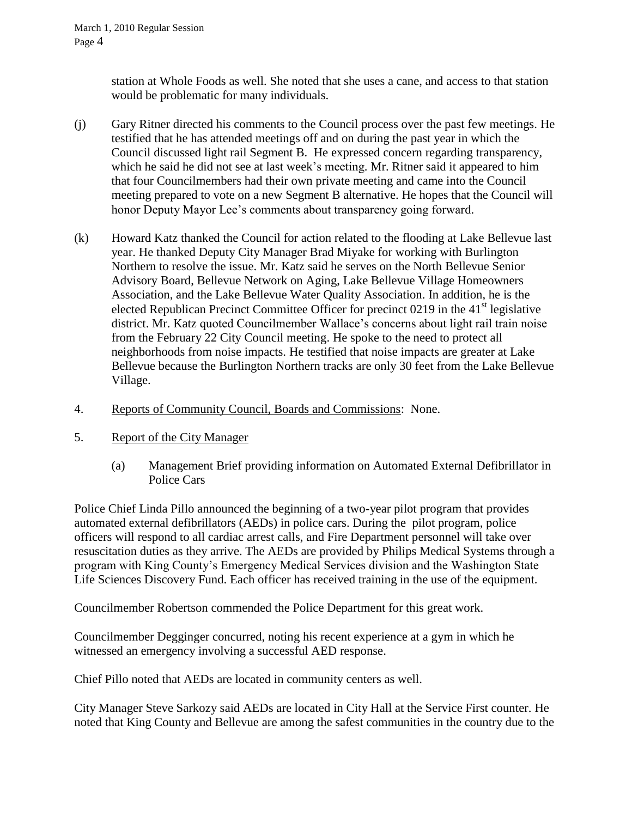station at Whole Foods as well. She noted that she uses a cane, and access to that station would be problematic for many individuals.

- (j) Gary Ritner directed his comments to the Council process over the past few meetings. He testified that he has attended meetings off and on during the past year in which the Council discussed light rail Segment B. He expressed concern regarding transparency, which he said he did not see at last week's meeting. Mr. Ritner said it appeared to him that four Councilmembers had their own private meeting and came into the Council meeting prepared to vote on a new Segment B alternative. He hopes that the Council will honor Deputy Mayor Lee's comments about transparency going forward.
- (k) Howard Katz thanked the Council for action related to the flooding at Lake Bellevue last year. He thanked Deputy City Manager Brad Miyake for working with Burlington Northern to resolve the issue. Mr. Katz said he serves on the North Bellevue Senior Advisory Board, Bellevue Network on Aging, Lake Bellevue Village Homeowners Association, and the Lake Bellevue Water Quality Association. In addition, he is the elected Republican Precinct Committee Officer for precinct  $0219$  in the  $41<sup>st</sup>$  legislative district. Mr. Katz quoted Councilmember Wallace's concerns about light rail train noise from the February 22 City Council meeting. He spoke to the need to protect all neighborhoods from noise impacts. He testified that noise impacts are greater at Lake Bellevue because the Burlington Northern tracks are only 30 feet from the Lake Bellevue Village.
- 4. Reports of Community Council, Boards and Commissions: None.
- 5. Report of the City Manager
	- (a) Management Brief providing information on Automated External Defibrillator in Police Cars

Police Chief Linda Pillo announced the beginning of a two-year pilot program that provides automated external defibrillators (AEDs) in police cars. During the pilot program, police officers will respond to all cardiac arrest calls, and Fire Department personnel will take over resuscitation duties as they arrive. The AEDs are provided by Philips Medical Systems through a program with King County's Emergency Medical Services division and the Washington State Life Sciences Discovery Fund. Each officer has received training in the use of the equipment.

Councilmember Robertson commended the Police Department for this great work.

Councilmember Degginger concurred, noting his recent experience at a gym in which he witnessed an emergency involving a successful AED response.

Chief Pillo noted that AEDs are located in community centers as well.

City Manager Steve Sarkozy said AEDs are located in City Hall at the Service First counter. He noted that King County and Bellevue are among the safest communities in the country due to the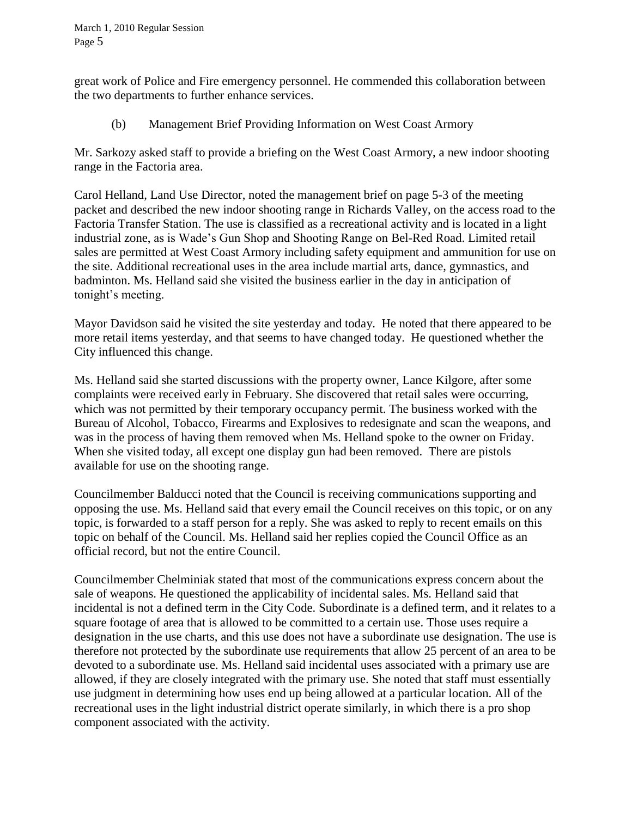great work of Police and Fire emergency personnel. He commended this collaboration between the two departments to further enhance services.

(b) Management Brief Providing Information on West Coast Armory

Mr. Sarkozy asked staff to provide a briefing on the West Coast Armory, a new indoor shooting range in the Factoria area.

Carol Helland, Land Use Director, noted the management brief on page 5-3 of the meeting packet and described the new indoor shooting range in Richards Valley, on the access road to the Factoria Transfer Station. The use is classified as a recreational activity and is located in a light industrial zone, as is Wade's Gun Shop and Shooting Range on Bel-Red Road. Limited retail sales are permitted at West Coast Armory including safety equipment and ammunition for use on the site. Additional recreational uses in the area include martial arts, dance, gymnastics, and badminton. Ms. Helland said she visited the business earlier in the day in anticipation of tonight's meeting.

Mayor Davidson said he visited the site yesterday and today. He noted that there appeared to be more retail items yesterday, and that seems to have changed today. He questioned whether the City influenced this change.

Ms. Helland said she started discussions with the property owner, Lance Kilgore, after some complaints were received early in February. She discovered that retail sales were occurring, which was not permitted by their temporary occupancy permit. The business worked with the Bureau of Alcohol, Tobacco, Firearms and Explosives to redesignate and scan the weapons, and was in the process of having them removed when Ms. Helland spoke to the owner on Friday. When she visited today, all except one display gun had been removed. There are pistols available for use on the shooting range.

Councilmember Balducci noted that the Council is receiving communications supporting and opposing the use. Ms. Helland said that every email the Council receives on this topic, or on any topic, is forwarded to a staff person for a reply. She was asked to reply to recent emails on this topic on behalf of the Council. Ms. Helland said her replies copied the Council Office as an official record, but not the entire Council.

Councilmember Chelminiak stated that most of the communications express concern about the sale of weapons. He questioned the applicability of incidental sales. Ms. Helland said that incidental is not a defined term in the City Code. Subordinate is a defined term, and it relates to a square footage of area that is allowed to be committed to a certain use. Those uses require a designation in the use charts, and this use does not have a subordinate use designation. The use is therefore not protected by the subordinate use requirements that allow 25 percent of an area to be devoted to a subordinate use. Ms. Helland said incidental uses associated with a primary use are allowed, if they are closely integrated with the primary use. She noted that staff must essentially use judgment in determining how uses end up being allowed at a particular location. All of the recreational uses in the light industrial district operate similarly, in which there is a pro shop component associated with the activity.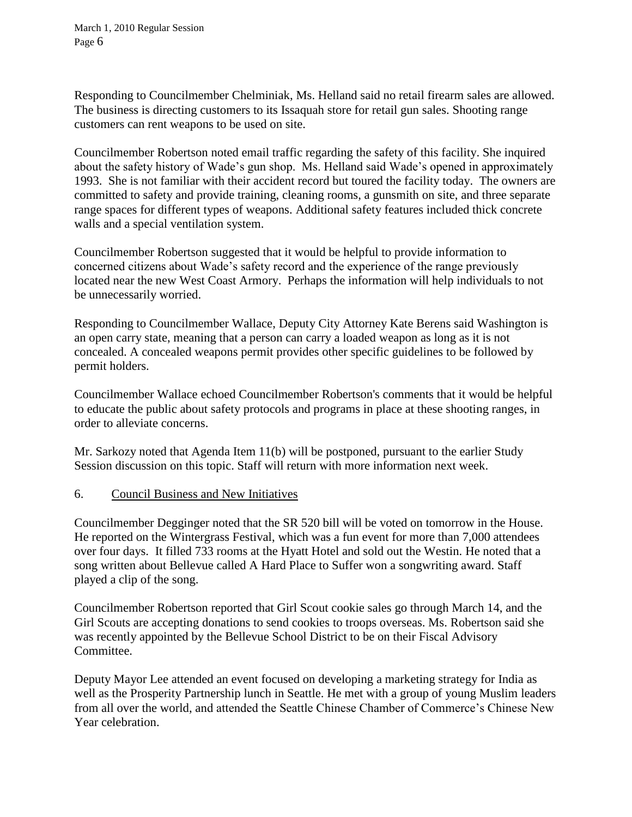March 1, 2010 Regular Session Page 6

Responding to Councilmember Chelminiak, Ms. Helland said no retail firearm sales are allowed. The business is directing customers to its Issaquah store for retail gun sales. Shooting range customers can rent weapons to be used on site.

Councilmember Robertson noted email traffic regarding the safety of this facility. She inquired about the safety history of Wade's gun shop. Ms. Helland said Wade's opened in approximately 1993. She is not familiar with their accident record but toured the facility today. The owners are committed to safety and provide training, cleaning rooms, a gunsmith on site, and three separate range spaces for different types of weapons. Additional safety features included thick concrete walls and a special ventilation system.

Councilmember Robertson suggested that it would be helpful to provide information to concerned citizens about Wade's safety record and the experience of the range previously located near the new West Coast Armory. Perhaps the information will help individuals to not be unnecessarily worried.

Responding to Councilmember Wallace, Deputy City Attorney Kate Berens said Washington is an open carry state, meaning that a person can carry a loaded weapon as long as it is not concealed. A concealed weapons permit provides other specific guidelines to be followed by permit holders.

Councilmember Wallace echoed Councilmember Robertson's comments that it would be helpful to educate the public about safety protocols and programs in place at these shooting ranges, in order to alleviate concerns.

Mr. Sarkozy noted that Agenda Item 11(b) will be postponed, pursuant to the earlier Study Session discussion on this topic. Staff will return with more information next week.

## 6. Council Business and New Initiatives

Councilmember Degginger noted that the SR 520 bill will be voted on tomorrow in the House. He reported on the Wintergrass Festival, which was a fun event for more than 7,000 attendees over four days. It filled 733 rooms at the Hyatt Hotel and sold out the Westin. He noted that a song written about Bellevue called A Hard Place to Suffer won a songwriting award. Staff played a clip of the song.

Councilmember Robertson reported that Girl Scout cookie sales go through March 14, and the Girl Scouts are accepting donations to send cookies to troops overseas. Ms. Robertson said she was recently appointed by the Bellevue School District to be on their Fiscal Advisory Committee.

Deputy Mayor Lee attended an event focused on developing a marketing strategy for India as well as the Prosperity Partnership lunch in Seattle. He met with a group of young Muslim leaders from all over the world, and attended the Seattle Chinese Chamber of Commerce's Chinese New Year celebration.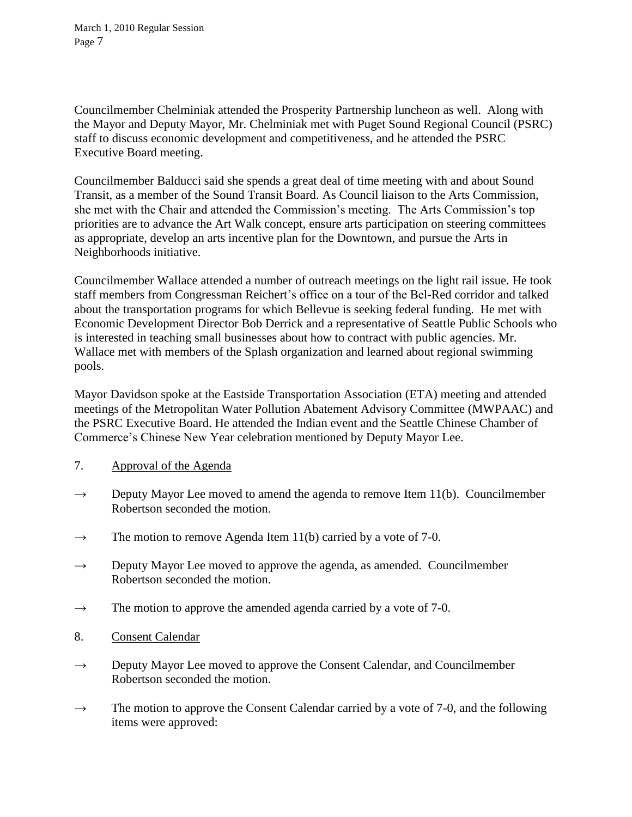Councilmember Chelminiak attended the Prosperity Partnership luncheon as well. Along with the Mayor and Deputy Mayor, Mr. Chelminiak met with Puget Sound Regional Council (PSRC) staff to discuss economic development and competitiveness, and he attended the PSRC Executive Board meeting.

Councilmember Balducci said she spends a great deal of time meeting with and about Sound Transit, as a member of the Sound Transit Board. As Council liaison to the Arts Commission, she met with the Chair and attended the Commission's meeting. The Arts Commission's top priorities are to advance the Art Walk concept, ensure arts participation on steering committees as appropriate, develop an arts incentive plan for the Downtown, and pursue the Arts in Neighborhoods initiative.

Councilmember Wallace attended a number of outreach meetings on the light rail issue. He took staff members from Congressman Reichert's office on a tour of the Bel-Red corridor and talked about the transportation programs for which Bellevue is seeking federal funding. He met with Economic Development Director Bob Derrick and a representative of Seattle Public Schools who is interested in teaching small businesses about how to contract with public agencies. Mr. Wallace met with members of the Splash organization and learned about regional swimming pools.

Mayor Davidson spoke at the Eastside Transportation Association (ETA) meeting and attended meetings of the Metropolitan Water Pollution Abatement Advisory Committee (MWPAAC) and the PSRC Executive Board. He attended the Indian event and the Seattle Chinese Chamber of Commerce's Chinese New Year celebration mentioned by Deputy Mayor Lee.

- 7. Approval of the Agenda
- $\rightarrow$  Deputy Mayor Lee moved to amend the agenda to remove Item 11(b). Councilmember Robertson seconded the motion.
- $\rightarrow$  The motion to remove Agenda Item 11(b) carried by a vote of 7-0.
- $\rightarrow$  Deputy Mayor Lee moved to approve the agenda, as amended. Councilmember Robertson seconded the motion.
- $\rightarrow$  The motion to approve the amended agenda carried by a vote of 7-0.
- 8. Consent Calendar
- $\rightarrow$  Deputy Mayor Lee moved to approve the Consent Calendar, and Councilmember Robertson seconded the motion.
- $\rightarrow$  The motion to approve the Consent Calendar carried by a vote of 7-0, and the following items were approved: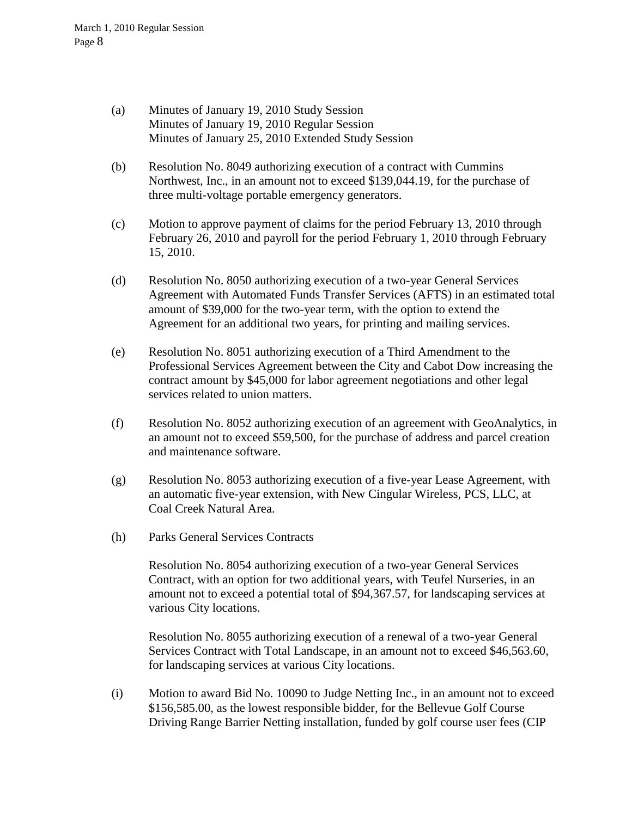- (a) Minutes of January 19, 2010 Study Session Minutes of January 19, 2010 Regular Session Minutes of January 25, 2010 Extended Study Session
- (b) Resolution No. 8049 authorizing execution of a contract with Cummins Northwest, Inc., in an amount not to exceed \$139,044.19, for the purchase of three multi-voltage portable emergency generators.
- (c) Motion to approve payment of claims for the period February 13, 2010 through February 26, 2010 and payroll for the period February 1, 2010 through February 15, 2010.
- (d) Resolution No. 8050 authorizing execution of a two-year General Services Agreement with Automated Funds Transfer Services (AFTS) in an estimated total amount of \$39,000 for the two-year term, with the option to extend the Agreement for an additional two years, for printing and mailing services.
- (e) Resolution No. 8051 authorizing execution of a Third Amendment to the Professional Services Agreement between the City and Cabot Dow increasing the contract amount by \$45,000 for labor agreement negotiations and other legal services related to union matters.
- (f) Resolution No. 8052 authorizing execution of an agreement with GeoAnalytics, in an amount not to exceed \$59,500, for the purchase of address and parcel creation and maintenance software.
- (g) Resolution No. 8053 authorizing execution of a five-year Lease Agreement, with an automatic five-year extension, with New Cingular Wireless, PCS, LLC, at Coal Creek Natural Area.
- (h) Parks General Services Contracts

Resolution No. 8054 authorizing execution of a two-year General Services Contract, with an option for two additional years, with Teufel Nurseries, in an amount not to exceed a potential total of \$94,367.57, for landscaping services at various City locations.

Resolution No. 8055 authorizing execution of a renewal of a two-year General Services Contract with Total Landscape, in an amount not to exceed \$46,563.60, for landscaping services at various City locations.

(i) Motion to award Bid No. 10090 to Judge Netting Inc., in an amount not to exceed \$156,585.00, as the lowest responsible bidder, for the Bellevue Golf Course Driving Range Barrier Netting installation, funded by golf course user fees (CIP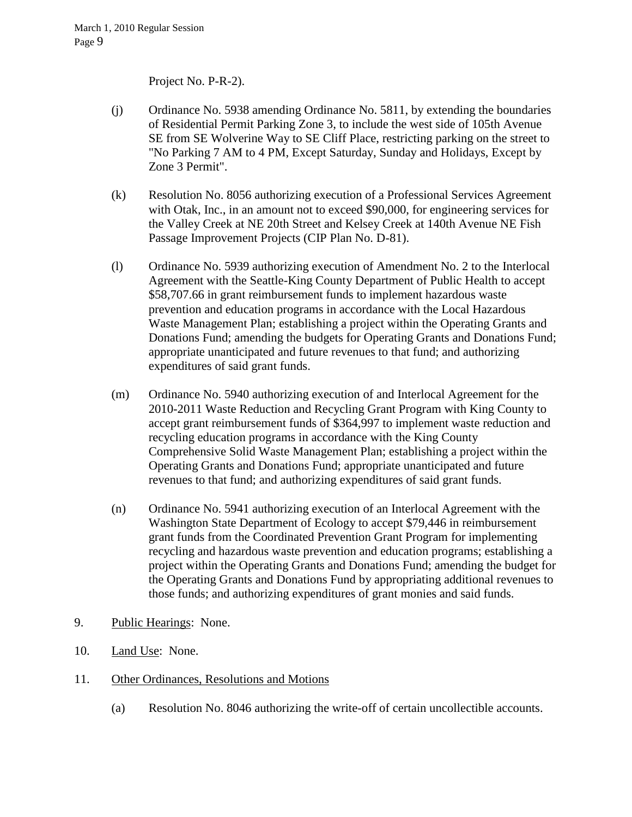Project No. P-R-2).

- (j) Ordinance No. 5938 amending Ordinance No. 5811, by extending the boundaries of Residential Permit Parking Zone 3, to include the west side of 105th Avenue SE from SE Wolverine Way to SE Cliff Place, restricting parking on the street to "No Parking 7 AM to 4 PM, Except Saturday, Sunday and Holidays, Except by Zone 3 Permit".
- (k) Resolution No. 8056 authorizing execution of a Professional Services Agreement with Otak, Inc., in an amount not to exceed \$90,000, for engineering services for the Valley Creek at NE 20th Street and Kelsey Creek at 140th Avenue NE Fish Passage Improvement Projects (CIP Plan No. D-81).
- (l) Ordinance No. 5939 authorizing execution of Amendment No. 2 to the Interlocal Agreement with the Seattle-King County Department of Public Health to accept \$58,707.66 in grant reimbursement funds to implement hazardous waste prevention and education programs in accordance with the Local Hazardous Waste Management Plan; establishing a project within the Operating Grants and Donations Fund; amending the budgets for Operating Grants and Donations Fund; appropriate unanticipated and future revenues to that fund; and authorizing expenditures of said grant funds.
- (m) Ordinance No. 5940 authorizing execution of and Interlocal Agreement for the 2010-2011 Waste Reduction and Recycling Grant Program with King County to accept grant reimbursement funds of \$364,997 to implement waste reduction and recycling education programs in accordance with the King County Comprehensive Solid Waste Management Plan; establishing a project within the Operating Grants and Donations Fund; appropriate unanticipated and future revenues to that fund; and authorizing expenditures of said grant funds.
- (n) Ordinance No. 5941 authorizing execution of an Interlocal Agreement with the Washington State Department of Ecology to accept \$79,446 in reimbursement grant funds from the Coordinated Prevention Grant Program for implementing recycling and hazardous waste prevention and education programs; establishing a project within the Operating Grants and Donations Fund; amending the budget for the Operating Grants and Donations Fund by appropriating additional revenues to those funds; and authorizing expenditures of grant monies and said funds.
- 9. Public Hearings: None.
- 10. Land Use: None.
- 11. Other Ordinances, Resolutions and Motions
	- (a) Resolution No. 8046 authorizing the write-off of certain uncollectible accounts.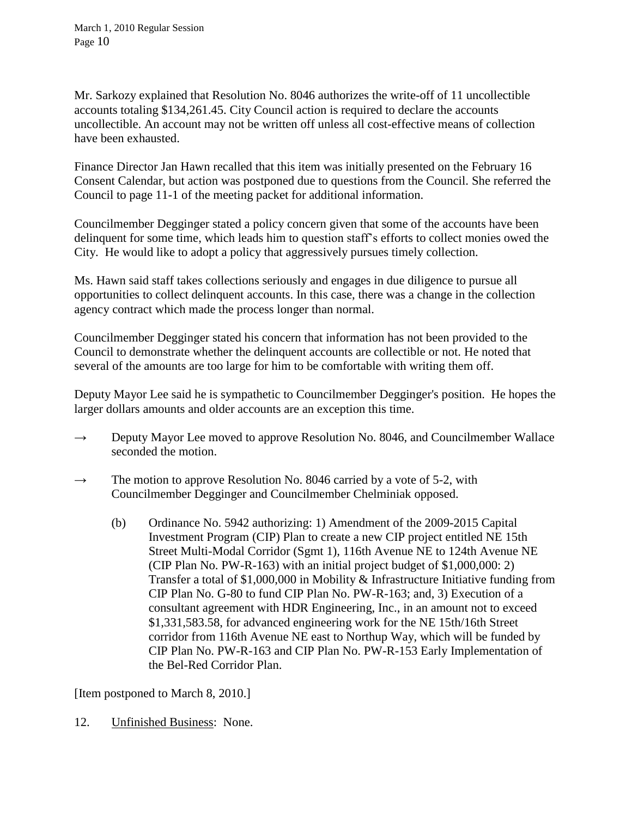Mr. Sarkozy explained that Resolution No. 8046 authorizes the write-off of 11 uncollectible accounts totaling \$134,261.45. City Council action is required to declare the accounts uncollectible. An account may not be written off unless all cost-effective means of collection have been exhausted.

Finance Director Jan Hawn recalled that this item was initially presented on the February 16 Consent Calendar, but action was postponed due to questions from the Council. She referred the Council to page 11-1 of the meeting packet for additional information.

Councilmember Degginger stated a policy concern given that some of the accounts have been delinquent for some time, which leads him to question staff's efforts to collect monies owed the City. He would like to adopt a policy that aggressively pursues timely collection.

Ms. Hawn said staff takes collections seriously and engages in due diligence to pursue all opportunities to collect delinquent accounts. In this case, there was a change in the collection agency contract which made the process longer than normal.

Councilmember Degginger stated his concern that information has not been provided to the Council to demonstrate whether the delinquent accounts are collectible or not. He noted that several of the amounts are too large for him to be comfortable with writing them off.

Deputy Mayor Lee said he is sympathetic to Councilmember Degginger's position. He hopes the larger dollars amounts and older accounts are an exception this time.

- $\rightarrow$  Deputy Mayor Lee moved to approve Resolution No. 8046, and Councilmember Wallace seconded the motion.
- $\rightarrow$  The motion to approve Resolution No. 8046 carried by a vote of 5-2, with Councilmember Degginger and Councilmember Chelminiak opposed.
	- (b) Ordinance No. 5942 authorizing: 1) Amendment of the 2009-2015 Capital Investment Program (CIP) Plan to create a new CIP project entitled NE 15th Street Multi-Modal Corridor (Sgmt 1), 116th Avenue NE to 124th Avenue NE (CIP Plan No. PW-R-163) with an initial project budget of \$1,000,000: 2) Transfer a total of \$1,000,000 in Mobility & Infrastructure Initiative funding from CIP Plan No. G-80 to fund CIP Plan No. PW-R-163; and, 3) Execution of a consultant agreement with HDR Engineering, Inc., in an amount not to exceed \$1,331,583.58, for advanced engineering work for the NE 15th/16th Street corridor from 116th Avenue NE east to Northup Way, which will be funded by CIP Plan No. PW-R-163 and CIP Plan No. PW-R-153 Early Implementation of the Bel-Red Corridor Plan.

[Item postponed to March 8, 2010.]

12. Unfinished Business: None.